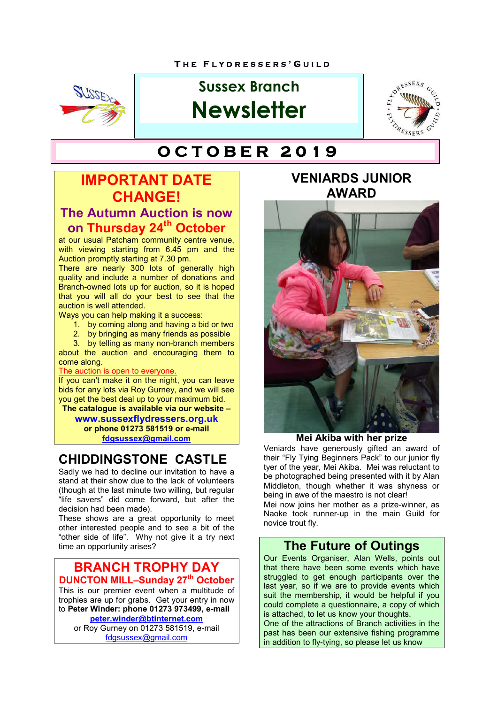

# **Sussex Branch Newsletter**



# **T H E F L Y D R E S S E R S ' G U I L D O C T O B E R 2 0 1 9**

## **IMPORTANT DATE CHANGE! The Autumn Auction is now**

**on Thursday 24th October** at our usual Patcham community centre venue,

with viewing starting from 6.45 pm and the Auction promptly starting at 7.30 pm.

There are nearly 300 lots of generally high quality and include a number of donations and Branch-owned lots up for auction, so it is hoped that you will all do your best to see that the auction is well attended.

Ways you can help making it a success:

- 1. by coming along and having a bid or two
- 2. by bringing as many friends as possible

3. by telling as many non-branch members about the auction and encouraging them to come along.

#### The auction is open to everyone.

If you can't make it on the night, you can leave bids for any lots via Roy Gurney, and we will see you get the best deal up to your maximum bid.

**The catalogue is available via our website – www.sussexflydressers.org.uk or phone 01273 581519 or e-mail fdgsussex@gmail.com**

### **CHIDDINGSTONE CASTLE**

Sadly we had to decline our invitation to have a stand at their show due to the lack of volunteers (though at the last minute two willing, but regular "life savers" did come forward, but after the decision had been made).

These shows are a great opportunity to meet other interested people and to see a bit of the "other side of life". Why not give it a try next time an opportunity arises?

#### **BRANCH TROPHY DAY DUNCTON MILL–Sunday 27<sup>th</sup> October**

This is our premier event when a multitude of trophies are up for grabs. Get your entry in now to **Peter Winder: phone 01273 973499, e-mail peter.winder@btinternet.com**

or Roy Gurney on 01273 581519, e-mail fdgsussex@gmail.com

### **VENIARDS JUNIOR AWARD**



#### **Mei Akiba with her prize**

Veniards have generously gifted an award of their "Fly Tying Beginners Pack" to our junior fly tyer of the year, Mei Akiba. Mei was reluctant to be photographed being presented with it by Alan Middleton, though whether it was shyness or being in awe of the maestro is not clear!

Mei now joins her mother as a prize-winner, as Naoke took runner-up in the main Guild for novice trout fly.

#### **The Future of Outings**

Our Events Organiser, Alan Wells, points out that there have been some events which have struggled to get enough participants over the last year, so if we are to provide events which suit the membership, it would be helpful if you could complete a questionnaire, a copy of which is attached, to let us know your thoughts. One of the attractions of Branch activities in the

past has been our extensive fishing programme in addition to fly-tying, so please let us know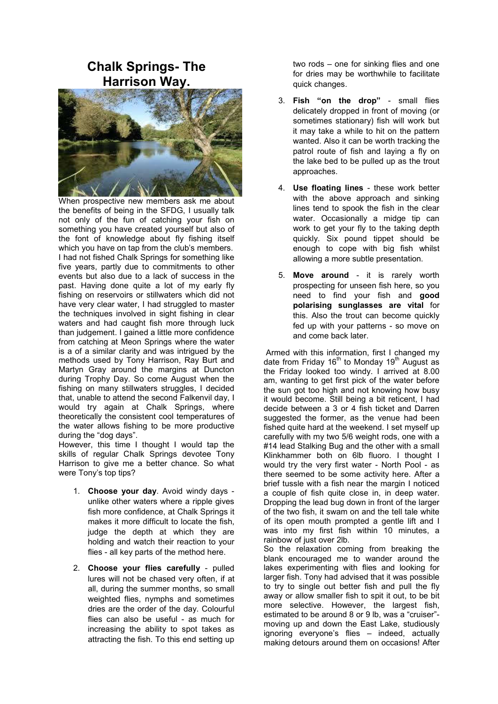### **Chalk Springs- The Harrison Way.**



When prospective new members ask me about the benefits of being in the SFDG, I usually talk not only of the fun of catching your fish on something you have created yourself but also of the font of knowledge about fly fishing itself which you have on tap from the club's members. I had not fished Chalk Springs for something like five years, partly due to commitments to other events but also due to a lack of success in the past. Having done quite a lot of my early fly fishing on reservoirs or stillwaters which did not have very clear water, I had struggled to master the techniques involved in sight fishing in clear waters and had caught fish more through luck than judgement. I gained a little more confidence from catching at Meon Springs where the water is a of a similar clarity and was intrigued by the methods used by Tony Harrison, Ray Burt and Martyn Gray around the margins at Duncton during Trophy Day. So come August when the fishing on many stillwaters struggles, I decided that, unable to attend the second Falkenvil day, I would try again at Chalk Springs, where theoretically the consistent cool temperatures of the water allows fishing to be more productive during the "dog days".

However, this time I thought I would tap the skills of regular Chalk Springs devotee Tony Harrison to give me a better chance. So what were Tony's top tips?

- 1. **Choose your day**. Avoid windy days unlike other waters where a ripple gives fish more confidence, at Chalk Springs it makes it more difficult to locate the fish, judge the depth at which they are holding and watch their reaction to your flies - all key parts of the method here.
- 2. **Choose your flies carefully** pulled lures will not be chased very often, if at all, during the summer months, so small weighted flies, nymphs and sometimes dries are the order of the day. Colourful flies can also be useful - as much for increasing the ability to spot takes as attracting the fish. To this end setting up

two rods – one for sinking flies and one for dries may be worthwhile to facilitate quick changes.

- 3. **Fish "on the drop"** small flies delicately dropped in front of moving (or sometimes stationary) fish will work but it may take a while to hit on the pattern wanted. Also it can be worth tracking the patrol route of fish and laying a fly on the lake bed to be pulled up as the trout approaches.
- 4. **Use floating lines** these work better with the above approach and sinking lines tend to spook the fish in the clear water. Occasionally a midge tip can work to get your fly to the taking depth quickly. Six pound tippet should be enough to cope with big fish whilst allowing a more subtle presentation.
- 5. **Move around** it is rarely worth prospecting for unseen fish here, so you need to find your fish and **good polarising sunglasses are vital** for this. Also the trout can become quickly fed up with your patterns - so move on and come back later.

 Armed with this information, first I changed my date from Friday  $16<sup>th</sup>$  to Monday  $19<sup>th</sup>$  August as the Friday looked too windy. I arrived at 8.00 am, wanting to get first pick of the water before the sun got too high and not knowing how busy it would become. Still being a bit reticent, I had decide between a 3 or 4 fish ticket and Darren suggested the former, as the venue had been fished quite hard at the weekend. I set myself up carefully with my two 5/6 weight rods, one with a #14 lead Stalking Bug and the other with a small Klinkhammer both on 6lb fluoro. I thought I would try the very first water - North Pool - as there seemed to be some activity here. After a brief tussle with a fish near the margin I noticed a couple of fish quite close in, in deep water. Dropping the lead bug down in front of the larger of the two fish, it swam on and the tell tale white of its open mouth prompted a gentle lift and I was into my first fish within 10 minutes, a rainbow of just over 2lb.

So the relaxation coming from breaking the blank encouraged me to wander around the lakes experimenting with flies and looking for larger fish. Tony had advised that it was possible to try to single out better fish and pull the fly away or allow smaller fish to spit it out, to be bit more selective. However, the largest fish, estimated to be around 8 or 9 lb, was a "cruiser" moving up and down the East Lake, studiously ignoring everyone's flies – indeed, actually making detours around them on occasions! After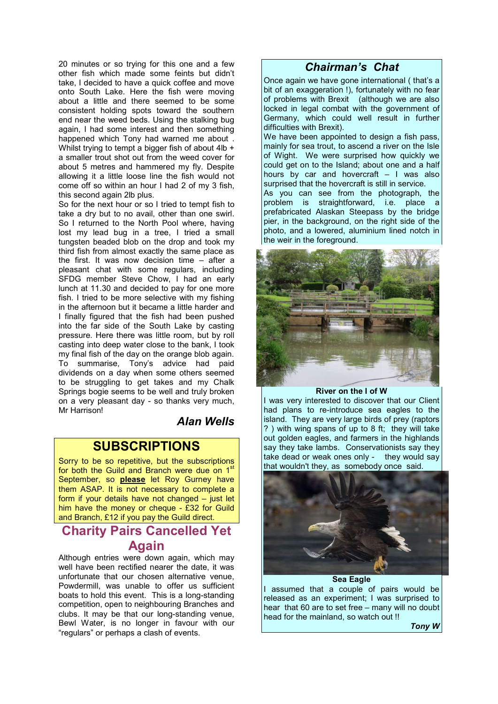20 minutes or so trying for this one and a few other fish which made some feints but didn't take, I decided to have a quick coffee and move onto South Lake. Here the fish were moving about a little and there seemed to be some consistent holding spots toward the southern end near the weed beds. Using the stalking bug again, I had some interest and then something happened which Tony had warned me about . Whilst trying to tempt a bigger fish of about 4lb + a smaller trout shot out from the weed cover for about 5 metres and hammered my fly. Despite allowing it a little loose line the fish would not come off so within an hour I had 2 of my 3 fish, this second again 2lb plus.

So for the next hour or so I tried to tempt fish to take a dry but to no avail, other than one swirl. So I returned to the North Pool where, having lost my lead bug in a tree, I tried a small tungsten beaded blob on the drop and took my third fish from almost exactly the same place as the first. It was now decision time – after a pleasant chat with some regulars, including SFDG member Steve Chow, I had an early lunch at 11.30 and decided to pay for one more fish. I tried to be more selective with my fishing in the afternoon but it became a little harder and I finally figured that the fish had been pushed into the far side of the South Lake by casting pressure. Here there was little room, but by roll casting into deep water close to the bank, I took my final fish of the day on the orange blob again. To summarise, Tony's advice had paid dividends on a day when some others seemed to be struggling to get takes and my Chalk Springs bogie seems to be well and truly broken on a very pleasant day - so thanks very much, Mr Harrison!

*Alan Wells*

#### **SUBSCRIPTIONS**

Sorry to be so repetitive, but the subscriptions for both the Guild and Branch were due on  $1<sup>s</sup>$ September, so **please** let Roy Gurney have them ASAP. It is not necessary to complete a form if your details have not changed – just let him have the money or cheque - £32 for Guild and Branch, £12 if you pay the Guild direct.

### **Charity Pairs Cancelled Yet Again**

Although entries were down again, which may well have been rectified nearer the date, it was unfortunate that our chosen alternative venue, Powdermill, was unable to offer us sufficient boats to hold this event. This is a long-standing competition, open to neighbouring Branches and clubs. It may be that our long-standing venue, Bewl Water, is no longer in favour with our "regulars" or perhaps a clash of events.

#### *Chairman's Chat*

Once again we have gone international ( that's a bit of an exaggeration !), fortunately with no fear of problems with Brexit (although we are also locked in legal combat with the government of Germany, which could well result in further difficulties with Brexit). We have been appointed to design a fish pass, mainly for sea trout, to ascend a river on the Isle of Wight. We were surprised how quickly we could get on to the Island; about one and a half hours by car and hovercraft – I was also surprised that the hovercraft is still in service.

As you can see from the photograph, the problem is straightforward, i.e. place a prefabricated Alaskan Steepass by the bridge pier, in the background, on the right side of the photo, and a lowered, aluminium lined notch in the weir in the foreground.



#### **River on the I of W**

I was very interested to discover that our Client had plans to re-introduce sea eagles to the island. They are very large birds of prey (raptors ? ) with wing spans of up to 8 ft; they will take out golden eagles, and farmers in the highlands say they take lambs. Conservationists say they take dead or weak ones only - they would say that wouldn't they, as somebody once said.



**Sea Eagle** I assumed that a couple of pairs would be released as an experiment; I was surprised to hear that 60 are to set free – many will no doubt head for the mainland, so watch out !!

*Tony W*